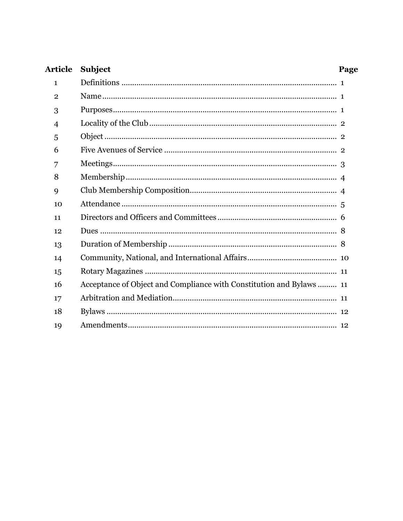| <b>Article</b> | <b>Subject</b>                                                       | Page |
|----------------|----------------------------------------------------------------------|------|
| $\mathbf{1}$   |                                                                      |      |
| $\mathbf{2}$   |                                                                      |      |
| 3              |                                                                      |      |
| $\overline{4}$ |                                                                      |      |
| 5              |                                                                      |      |
| 6              |                                                                      |      |
| 7              |                                                                      |      |
| 8              |                                                                      |      |
| 9              |                                                                      |      |
| 10             |                                                                      |      |
| 11             |                                                                      |      |
| 12             |                                                                      |      |
| 13             |                                                                      |      |
| 14             |                                                                      |      |
| 15             |                                                                      |      |
| 16             | Acceptance of Object and Compliance with Constitution and Bylaws  11 |      |
| 17             |                                                                      |      |
| 18             |                                                                      |      |
| 19             |                                                                      |      |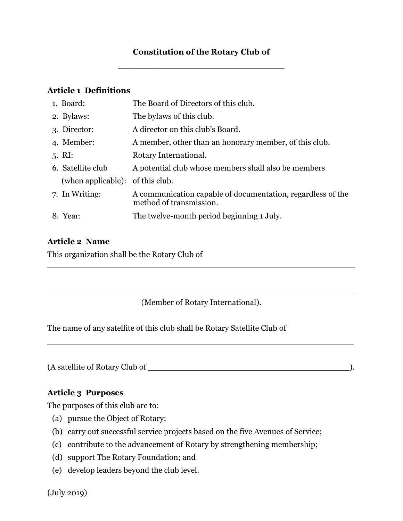# **Constitution of the Rotary Club of**

**\_\_\_\_\_\_\_\_\_\_\_\_\_\_\_\_\_\_\_\_\_\_\_\_\_\_\_\_\_\_**

### **Article 1 Definitions**

| 1. Board:                        | The Board of Directors of this club.                                                   |
|----------------------------------|----------------------------------------------------------------------------------------|
| 2. Bylaws:                       | The bylaws of this club.                                                               |
| 3. Director:                     | A director on this club's Board.                                                       |
| 4. Member:                       | A member, other than an honorary member, of this club.                                 |
| $5. \; \mathrm{RI:}$             | Rotary International.                                                                  |
| 6. Satellite club                | A potential club whose members shall also be members                                   |
| (when applicable): of this club. |                                                                                        |
| 7. In Writing:                   | A communication capable of documentation, regardless of the<br>method of transmission. |
| 8. Year:                         | The twelve-month period beginning 1 July.                                              |

## **Article 2 Name**

This organization shall be the Rotary Club of

iiiiiiiiiiiiiiiiiiiiiiiiiiiiiiiiiiiiiiiiiiiiiiiiiiiiiiiiiiiiiiiiiiiiiiiiiiiiiiiiiiiiiiiiiiiiiiiiiiiiiiiiiiiiiiiiiiiiiiiiiiiiiiiiiiiii (Member of Rotary International).

iiiiiiiiiiiiiiiiiiiiiiiiiiiiiiiiiiiiiiiiiiiiiiiiiiiiiiiiiiiiiiiiiiiiiiiiiiiiiiiiiiiiiiiiiiiiiiiiiiiiiiiiiiiiiiiiiiiiiiiiiiiiiiiiiiiii

The name of any satellite of this club shall be Rotary Satellite Club of

(A satellite of Rotary Club of  $\qquad \qquad$ 

Iiiiiiiiiiiiiiiiiiiiiiiiiiiiiiiiiiiiiiiiiiiiiiiiiiiiiiiiiiiiiiiiiiiiiiiiiiiiiiiiiiiiiiiiiiiiiiiiiiiiiiiiiiiiiiiiiiiiiiiiiiiiiiiiiiii

## **Article 3 Purposes**

The purposes of this club are to:

- (a) pursue the Object of Rotary;
- (b) carry out successful service projects based on the five Avenues of Service;
- (c) contribute to the advancement of Rotary by strengthening membership;
- (d) support The Rotary Foundation; and
- (e) develop leaders beyond the club level.

(July 2019)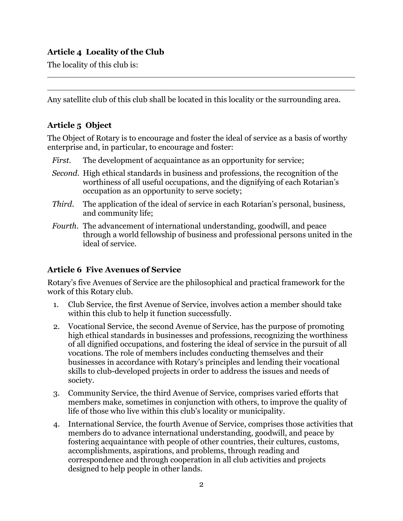## **Article 4 Locality of the Club**

The locality of this club is:

Any satellite club of this club shall be located in this locality or the surrounding area.

iiiiiiiiiiiiiiiiiiiiiiiiiiiiiiiiiiiiiiiiiiiiiiiiiiiiiiiiiiiiiiiiiiiiiiiiiiiiiiiiiiiiiiiiiiiiiiiiiiiiiiiiiiiiiiiiiiiiiiiiiiiiiiiiiiiii iiiiiiiiiiiiiiiiiiiiiiiiiiiiiiiiiiiiiiiiiiiiiiiiiiiiiiiiiiiiiiiiiiiiiiiiiiiiiiiiiiiiiiiiiiiiiiiiiiiiiiiiiiiiiiiiiiiiiiiiiiiiiiiiiiiii

# **Article 5 Object**

The Object of Rotary is to encourage and foster the ideal of service as a basis of worthy enterprise and, in particular, to encourage and foster:

- *First.* The development of acquaintance as an opportunity for service;
- *Second.* High ethical standards in business and professions, the recognition of the worthiness of all useful occupations, and the dignifying of each Rotarian's occupation as an opportunity to serve society;
- *Third.* The application of the ideal of service in each Rotarian's personal, business, and community life;
- *Fourth.* The advancement of international understanding, goodwill, and peace through a world fellowship of business and professional persons united in the ideal of service.

#### **Article 6 Five Avenues of Service**

Rotary's five Avenues of Service are the philosophical and practical framework for the work of this Rotary club.

- 1. Club Service, the first Avenue of Service, involves action a member should take within this club to help it function successfully.
- 2. Vocational Service, the second Avenue of Service, has the purpose of promoting high ethical standards in businesses and professions, recognizing the worthiness of all dignified occupations, and fostering the ideal of service in the pursuit of all vocations. The role of members includes conducting themselves and their businesses in accordance with Rotary's principles and lending their vocational skills to club-developed projects in order to address the issues and needs of society.
- 3. Community Service, the third Avenue of Service, comprises varied efforts that members make, sometimes in conjunction with others, to improve the quality of life of those who live within this club's locality or municipality.
- 4. International Service, the fourth Avenue of Service, comprises those activities that members do to advance international understanding, goodwill, and peace by fostering acquaintance with people of other countries, their cultures, customs, accomplishments, aspirations, and problems, through reading and correspondence and through cooperation in all club activities and projects designed to help people in other lands.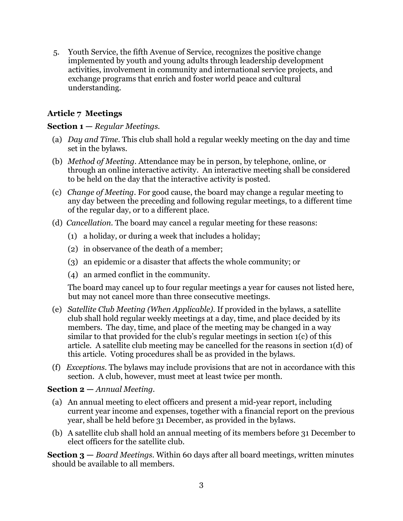5. Youth Service, the fifth Avenue of Service, recognizes the positive change implemented by youth and young adults through leadership development activities, involvement in community and international service projects, and exchange programs that enrich and foster world peace and cultural understanding.

# **Article 7 Meetings**

### **Section 1 —** *Regular Meetings.*

- (a) *Day and Time.* This club shall hold a regular weekly meeting on the day and time set in the bylaws.
- (b) *Method of Meeting.* Attendance may be in person, by telephone, online, or through an online interactive activity. An interactive meeting shall be considered to be held on the day that the interactive activity is posted.
- (c) *Change of Meeting.* For good cause, the board may change a regular meeting to any day between the preceding and following regular meetings, to a different time of the regular day, or to a different place.
- (d) *Cancellation.* The board may cancel a regular meeting for these reasons:
	- (1) a holiday, or during a week that includes a holiday;
	- (2) in observance of the death of a member;
	- (3) an epidemic or a disaster that affects the whole community; or
	- (4) an armed conflict in the community.

The board may cancel up to four regular meetings a year for causes not listed here, but may not cancel more than three consecutive meetings.

- (e) *Satellite Club Meeting (When Applicable).* If provided in the bylaws, a satellite club shall hold regular weekly meetings at a day, time, and place decided by its members. The day, time, and place of the meeting may be changed in a way similar to that provided for the club's regular meetings in section 1(c) of this article. A satellite club meeting may be cancelled for the reasons in section 1(d) of this article. Voting procedures shall be as provided in the bylaws.
- (f) *Exceptions.* The bylaws may include provisions that are not in accordance with this section. A club, however, must meet at least twice per month.

#### **Section 2 —** *Annual Meeting.*

- (a) An annual meeting to elect officers and present a mid-year report, including current year income and expenses, together with a financial report on the previous year, shall be held before 31 December, as provided in the bylaws.
- (b) A satellite club shall hold an annual meeting of its members before 31 December to elect officers for the satellite club.

**Section 3 —** *Board Meetings.* Within 60 days after all board meetings, written minutes should be available to all members.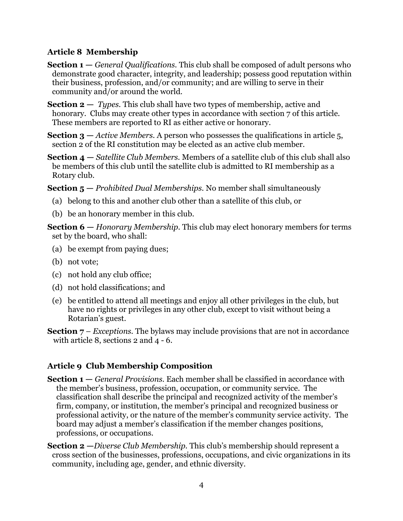## **Article 8 Membership**

- **Section 1 —** *General Qualifications.* This club shall be composed of adult persons who demonstrate good character, integrity, and leadership; possess good reputation within their business, profession, and/or community; and are willing to serve in their community and/or around the world.
- **Section 2 —** *Types.* This club shall have two types of membership, active and honorary. Clubs may create other types in accordance with section 7 of this article. These members are reported to RI as either active or honorary.
- **Section 3 —** *Active Members.* A person who possesses the qualifications in article 5, section 2 of the RI constitution may be elected as an active club member.
- **Section 4 —** *Satellite Club Members.* Members of a satellite club of this club shall also be members of this club until the satellite club is admitted to RI membership as a Rotary club.

**Section 5 —** *Prohibited Dual Memberships.* No member shall simultaneously

- (a) belong to this and another club other than a satellite of this club, or
- (b) be an honorary member in this club.

**Section 6 —** *Honorary Membership.* This club may elect honorary members for terms set by the board, who shall:

- (a) be exempt from paying dues;
- (b) not vote;
- (c) not hold any club office;
- (d) not hold classifications; and
- (e) be entitled to attend all meetings and enjoy all other privileges in the club, but have no rights or privileges in any other club, except to visit without being a Rotarian's guest.
- **Section 7** *Exceptions.* The bylaws may include provisions that are not in accordance with article 8, sections 2 and 4 - 6.

# **Article 9 Club Membership Composition**

- **Section 1 —** *General Provisions.* Each member shall be classified in accordance with the member's business, profession, occupation, or community service. The classification shall describe the principal and recognized activity of the member's firm, company, or institution, the member's principal and recognized business or professional activity, or the nature of the member's community service activity. The board may adjust a member's classification if the member changes positions, professions, or occupations.
- **Section 2 —***Diverse Club Membership.* This club's membership should represent a cross section of the businesses, professions, occupations, and civic organizations in its community, including age, gender, and ethnic diversity.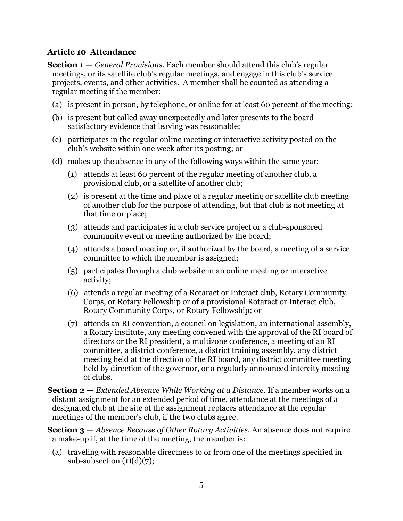### **Article 10 Attendance**

**Section 1 —** *General Provisions.* Each member should attend this club's regular meetings, or its satellite club's regular meetings, and engage in this club's service projects, events, and other activities. A member shall be counted as attending a regular meeting if the member:

- (a) is present in person, by telephone, or online for at least 60 percent of the meeting;
- (b) is present but called away unexpectedly and later presents to the board satisfactory evidence that leaving was reasonable;
- (c) participates in the regular online meeting or interactive activity posted on the club's website within one week after its posting; or
- (d) makes up the absence in any of the following ways within the same year:
	- (1) attends at least 60 percent of the regular meeting of another club, a provisional club, or a satellite of another club;
	- (2) is present at the time and place of a regular meeting or satellite club meeting of another club for the purpose of attending, but that club is not meeting at that time or place;
	- (3) attends and participates in a club service project or a club-sponsored community event or meeting authorized by the board;
	- (4) attends a board meeting or, if authorized by the board, a meeting of a service committee to which the member is assigned;
	- (5) participates through a club website in an online meeting or interactive activity;
	- (6) attends a regular meeting of a Rotaract or Interact club, Rotary Community Corps, or Rotary Fellowship or of a provisional Rotaract or Interact club, Rotary Community Corps, or Rotary Fellowship; or
	- (7) attends an RI convention, a council on legislation, an international assembly, a Rotary institute, any meeting convened with the approval of the RI board of directors or the RI president, a multizone conference, a meeting of an RI committee, a district conference, a district training assembly, any district meeting held at the direction of the RI board, any district committee meeting held by direction of the governor, or a regularly announced intercity meeting of clubs.
- **Section 2 —** *Extended Absence While Working at a Distance.* If a member works on a distant assignment for an extended period of time, attendance at the meetings of a designated club at the site of the assignment replaces attendance at the regular meetings of the member's club, if the two clubs agree.

**Section 3 —** *Absence Because of Other Rotary Activities.* An absence does not require a make-up if, at the time of the meeting, the member is:

(a) traveling with reasonable directness to or from one of the meetings specified in sub-subsection  $(1)(d)(7)$ ;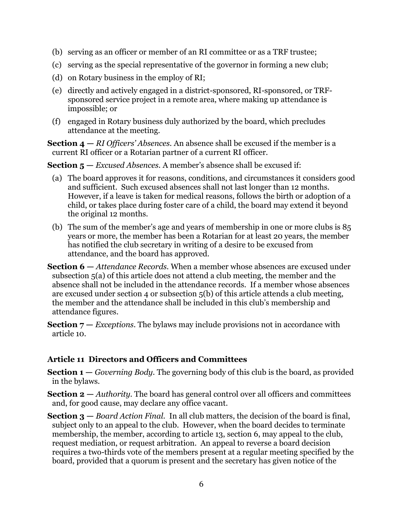- (b) serving as an officer or member of an RI committee or as a TRF trustee;
- (c) serving as the special representative of the governor in forming a new club;
- (d) on Rotary business in the employ of RI;
- (e) directly and actively engaged in a district-sponsored, RI-sponsored, or TRFsponsored service project in a remote area, where making up attendance is impossible; or
- (f) engaged in Rotary business duly authorized by the board, which precludes attendance at the meeting.

**Section 4 —** *RI Officers' Absences.* An absence shall be excused if the member is a current RI officer or a Rotarian partner of a current RI officer.

**Section 5 —** *Excused Absences.* A member's absence shall be excused if:

- (a) The board approves it for reasons, conditions, and circumstances it considers good and sufficient. Such excused absences shall not last longer than 12 months. However, if a leave is taken for medical reasons, follows the birth or adoption of a child, or takes place during foster care of a child, the board may extend it beyond the original 12 months.
- (b) The sum of the member's age and years of membership in one or more clubs is 85 years or more, the member has been a Rotarian for at least 20 years, the member has notified the club secretary in writing of a desire to be excused from attendance, and the board has approved.
- **Section 6 —** *Attendance Records.* When a member whose absences are excused under subsection 5(a) of this article does not attend a club meeting, the member and the absence shall not be included in the attendance records. If a member whose absences are excused under section 4 or subsection 5(b) of this article attends a club meeting, the member and the attendance shall be included in this club's membership and attendance figures.
- **Section 7 —** *Exceptions.* The bylaws may include provisions not in accordance with article 10.

## **Article 11 Directors and Officers and Committees**

- **Section 1 —** *Governing Body.* The governing body of this club is the board, as provided in the bylaws.
- **Section 2 —** *Authority.* The board has general control over all officers and committees and, for good cause, may declare any office vacant.
- **Section 3 —** *Board Action Final.* In all club matters, the decision of the board is final, subject only to an appeal to the club. However, when the board decides to terminate membership, the member, according to article 13, section 6, may appeal to the club, request mediation, or request arbitration. An appeal to reverse a board decision requires a two-thirds vote of the members present at a regular meeting specified by the board, provided that a quorum is present and the secretary has given notice of the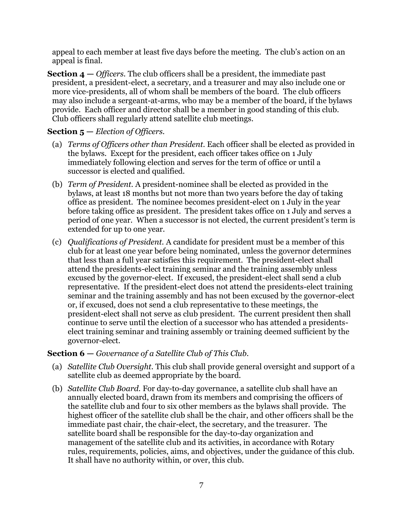appeal to each member at least five days before the meeting. The club's action on an appeal is final.

**Section 4 —** *Officers.* The club officers shall be a president, the immediate past president, a president-elect, a secretary, and a treasurer and may also include one or more vice-presidents, all of whom shall be members of the board. The club officers may also include a sergeant-at-arms, who may be a member of the board, if the bylaws provide. Each officer and director shall be a member in good standing of this club. Club officers shall regularly attend satellite club meetings.

### **Section 5 —** *Election of Officers.*

- (a) *Terms of Officers other than President.* Each officer shall be elected as provided in the bylaws. Except for the president, each officer takes office on 1 July immediately following election and serves for the term of office or until a successor is elected and qualified.
- (b) *Term of President.* A president-nominee shall be elected as provided in the bylaws, at least 18 months but not more than two years before the day of taking office as president. The nominee becomes president-elect on 1 July in the year before taking office as president. The president takes office on 1 July and serves a period of one year. When a successor is not elected, the current president's term is extended for up to one year.
- (c) *Qualifications of President.* A candidate for president must be a member of this club for at least one year before being nominated, unless the governor determines that less than a full year satisfies this requirement. The president-elect shall attend the presidents-elect training seminar and the training assembly unless excused by the governor-elect. If excused, the president-elect shall send a club representative. If the president-elect does not attend the presidents-elect training seminar and the training assembly and has not been excused by the governor-elect or, if excused, does not send a club representative to these meetings, the president-elect shall not serve as club president. The current president then shall continue to serve until the election of a successor who has attended a presidentselect training seminar and training assembly or training deemed sufficient by the governor-elect.

## **Section 6 —** *Governance of a Satellite Club of This Club.*

- (a) *Satellite Club Oversight.* This club shall provide general oversight and support of a satellite club as deemed appropriate by the board.
- (b) *Satellite Club Board.* For day-to-day governance, a satellite club shall have an annually elected board, drawn from its members and comprising the officers of the satellite club and four to six other members as the bylaws shall provide. The highest officer of the satellite club shall be the chair, and other officers shall be the immediate past chair, the chair-elect, the secretary, and the treasurer. The satellite board shall be responsible for the day-to-day organization and management of the satellite club and its activities, in accordance with Rotary rules, requirements, policies, aims, and objectives, under the guidance of this club. It shall have no authority within, or over, this club.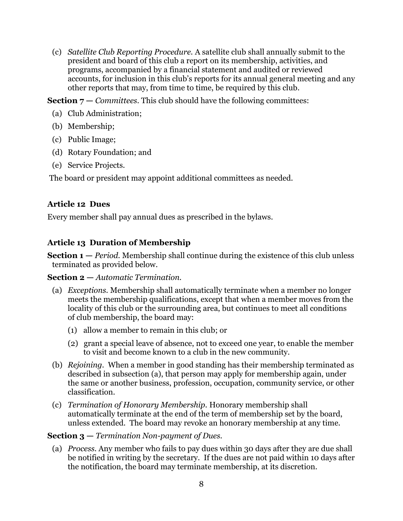(c) *Satellite Club Reporting Procedure.* A satellite club shall annually submit to the president and board of this club a report on its membership, activities, and programs, accompanied by a financial statement and audited or reviewed accounts, for inclusion in this club's reports for its annual general meeting and any other reports that may, from time to time, be required by this club.

**Section 7 —** *Committees.* This club should have the following committees:

- (a) Club Administration;
- (b) Membership;
- (c) Public Image;
- (d) Rotary Foundation; and
- (e) Service Projects.

The board or president may appoint additional committees as needed.

## **Article 12 Dues**

Every member shall pay annual dues as prescribed in the bylaws.

## **Article 13 Duration of Membership**

**Section 1 —** *Period.* Membership shall continue during the existence of this club unless terminated as provided below.

#### **Section 2 —** *Automatic Termination.*

- (a) *Exceptions.* Membership shall automatically terminate when a member no longer meets the membership qualifications, except that when a member moves from the locality of this club or the surrounding area, but continues to meet all conditions of club membership, the board may:
	- (1) allow a member to remain in this club; or
	- (2) grant a special leave of absence, not to exceed one year, to enable the member to visit and become known to a club in the new community.
- (b) *Rejoining.* When a member in good standing has their membership terminated as described in subsection (a), that person may apply for membership again, under the same or another business, profession, occupation, community service, or other classification.
- (c) *Termination of Honorary Membership.* Honorary membership shall automatically terminate at the end of the term of membership set by the board, unless extended. The board may revoke an honorary membership at any time.

#### **Section 3 —** *Termination Non-payment of Dues.*

(a) *Process.* Any member who fails to pay dues within 30 days after they are due shall be notified in writing by the secretary. If the dues are not paid within 10 days after the notification, the board may terminate membership, at its discretion.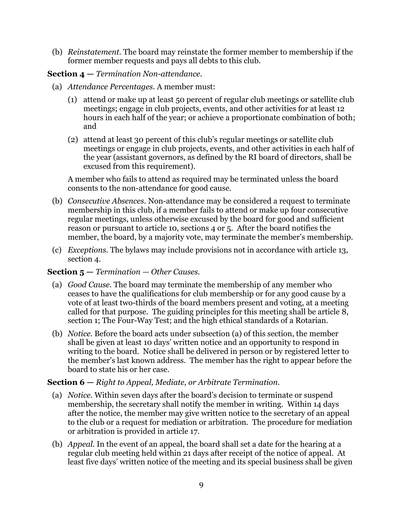(b) *Reinstatement.* The board may reinstate the former member to membership if the former member requests and pays all debts to this club.

### **Section 4 —** *Termination Non-attendance.*

- (a) *Attendance Percentages.* A member must:
	- (1) attend or make up at least 50 percent of regular club meetings or satellite club meetings; engage in club projects, events, and other activities for at least 12 hours in each half of the year; or achieve a proportionate combination of both; and
	- (2) attend at least 30 percent of this club's regular meetings or satellite club meetings or engage in club projects, events, and other activities in each half of the year (assistant governors, as defined by the RI board of directors, shall be excused from this requirement).

A member who fails to attend as required may be terminated unless the board consents to the non-attendance for good cause.

- (b) *Consecutive Absences.* Non-attendance may be considered a request to terminate membership in this club, if a member fails to attend or make up four consecutive regular meetings, unless otherwise excused by the board for good and sufficient reason or pursuant to article 10, sections 4 or 5. After the board notifies the member, the board, by a majority vote, may terminate the member's membership.
- (c) *Exceptions.* The bylaws may include provisions not in accordance with article 13, section 4.

## **Section 5 —** *Termination — Other Causes.*

- (a) *Good Cause.* The board may terminate the membership of any member who ceases to have the qualifications for club membership or for any good cause by a vote of at least two-thirds of the board members present and voting, at a meeting called for that purpose. The guiding principles for this meeting shall be article 8, section 1; The Four-Way Test; and the high ethical standards of a Rotarian.
- (b) *Notice.* Before the board acts under subsection (a) of this section, the member shall be given at least 10 days' written notice and an opportunity to respond in writing to the board. Notice shall be delivered in person or by registered letter to the member's last known address. The member has the right to appear before the board to state his or her case.

#### **Section 6 —** *Right to Appeal, Mediate, or Arbitrate Termination.*

- (a) *Notice.* Within seven days after the board's decision to terminate or suspend membership, the secretary shall notify the member in writing. Within 14 days after the notice, the member may give written notice to the secretary of an appeal to the club or a request for mediation or arbitration. The procedure for mediation or arbitration is provided in article 17.
- (b) *Appeal.* In the event of an appeal, the board shall set a date for the hearing at a regular club meeting held within 21 days after receipt of the notice of appeal. At least five days' written notice of the meeting and its special business shall be given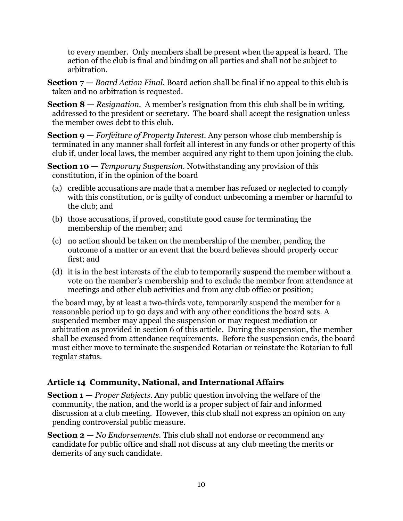to every member. Only members shall be present when the appeal is heard. The action of the club is final and binding on all parties and shall not be subject to arbitration.

- **Section 7 —** *Board Action Final.* Board action shall be final if no appeal to this club is taken and no arbitration is requested.
- **Section 8 —** *Resignation.* A member's resignation from this club shall be in writing, addressed to the president or secretary. The board shall accept the resignation unless the member owes debt to this club.
- **Section 9 —** *Forfeiture of Property Interest.* Any person whose club membership is terminated in any manner shall forfeit all interest in any funds or other property of this club if, under local laws, the member acquired any right to them upon joining the club.
- **Section 10 —** *Temporary Suspension.* Notwithstanding any provision of this constitution, if in the opinion of the board
	- (a) credible accusations are made that a member has refused or neglected to comply with this constitution, or is guilty of conduct unbecoming a member or harmful to the club; and
	- (b) those accusations, if proved, constitute good cause for terminating the membership of the member; and
	- (c) no action should be taken on the membership of the member, pending the outcome of a matter or an event that the board believes should properly occur first; and
	- (d) it is in the best interests of the club to temporarily suspend the member without a vote on the member's membership and to exclude the member from attendance at meetings and other club activities and from any club office or position;

the board may, by at least a two-thirds vote, temporarily suspend the member for a reasonable period up to 90 days and with any other conditions the board sets. A suspended member may appeal the suspension or may request mediation or arbitration as provided in section 6 of this article. During the suspension, the member shall be excused from attendance requirements. Before the suspension ends, the board must either move to terminate the suspended Rotarian or reinstate the Rotarian to full regular status.

# **Article 14 Community, National, and International Affairs**

- **Section 1 —** *Proper Subjects.* Any public question involving the welfare of the community, the nation, and the world is a proper subject of fair and informed discussion at a club meeting. However, this club shall not express an opinion on any pending controversial public measure.
- **Section 2 —** *No Endorsements.* This club shall not endorse or recommend any candidate for public office and shall not discuss at any club meeting the merits or demerits of any such candidate.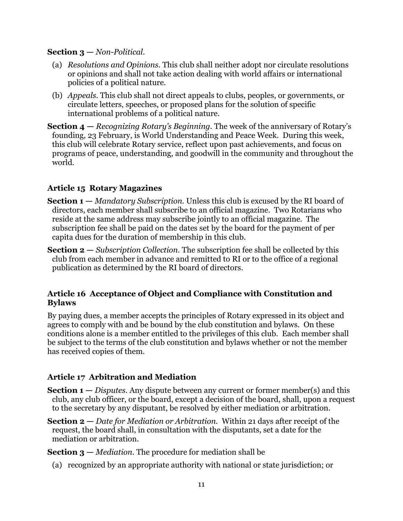#### **Section 3 —** *Non-Political.*

- (a) *Resolutions and Opinions.* This club shall neither adopt nor circulate resolutions or opinions and shall not take action dealing with world affairs or international policies of a political nature.
- (b) *Appeals.* This club shall not direct appeals to clubs, peoples, or governments, or circulate letters, speeches, or proposed plans for the solution of specific international problems of a political nature.
- **Section 4 —** *Recognizing Rotary's Beginning.* The week of the anniversary of Rotary's founding, 23 February, is World Understanding and Peace Week. During this week, this club will celebrate Rotary service, reflect upon past achievements, and focus on programs of peace, understanding, and goodwill in the community and throughout the world.

### **Article 15 Rotary Magazines**

- **Section 1 —** *Mandatory Subscription.* Unless this club is excused by the RI board of directors, each member shall subscribe to an official magazine. Two Rotarians who reside at the same address may subscribe jointly to an official magazine. The subscription fee shall be paid on the dates set by the board for the payment of per capita dues for the duration of membership in this club.
- **Section 2** *Subscription Collection*. The subscription fee shall be collected by this club from each member in advance and remitted to RI or to the office of a regional publication as determined by the RI board of directors.

#### **Article 16 Acceptance of Object and Compliance with Constitution and Bylaws**

By paying dues, a member accepts the principles of Rotary expressed in its object and agrees to comply with and be bound by the club constitution and bylaws. On these conditions alone is a member entitled to the privileges of this club. Each member shall be subject to the terms of the club constitution and bylaws whether or not the member has received copies of them.

## **Article 17 Arbitration and Mediation**

- **Section 1 —** *Disputes.* Any dispute between any current or former member(s) and this club, any club officer, or the board, except a decision of the board, shall, upon a request to the secretary by any disputant, be resolved by either mediation or arbitration.
- **Section 2 —** *Date for Mediation or Arbitration.* Within 21 days after receipt of the request, the board shall, in consultation with the disputants, set a date for the mediation or arbitration.

**Section 3 —** *Mediation.* The procedure for mediation shall be

(a) recognized by an appropriate authority with national or state jurisdiction; or